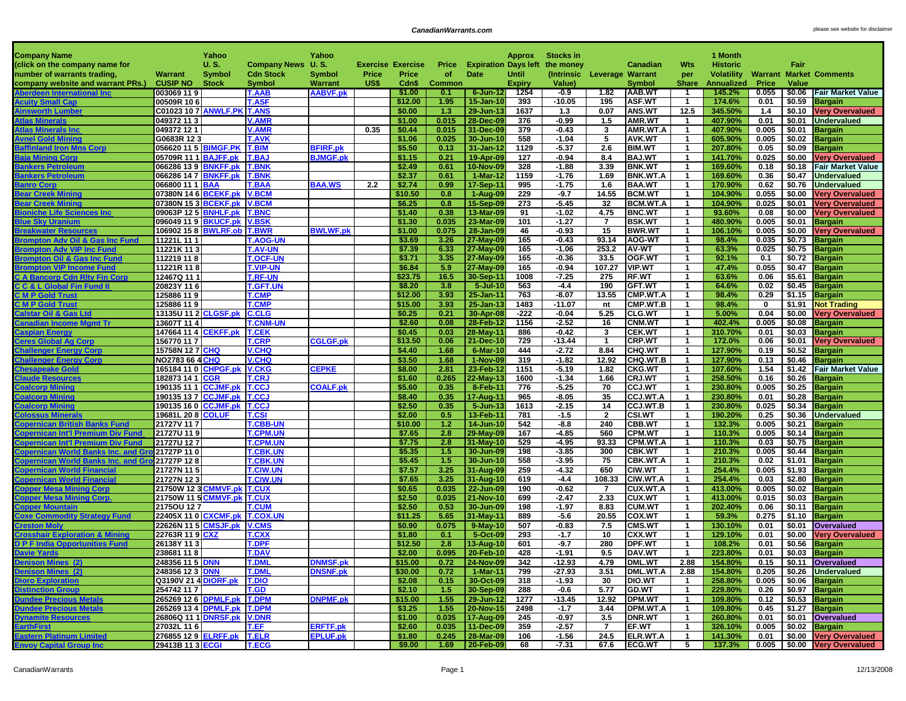| <b>Company Name</b>                                                          |                                                          | Yahoo         |                                    | Yahoo           |       |                          |               |                               | <b>Approx</b>  | <b>Stocks in</b>   |                             |                                  |                                | 1 Month            |               |                  |                                                    |
|------------------------------------------------------------------------------|----------------------------------------------------------|---------------|------------------------------------|-----------------|-------|--------------------------|---------------|-------------------------------|----------------|--------------------|-----------------------------|----------------------------------|--------------------------------|--------------------|---------------|------------------|----------------------------------------------------|
| (click on the company name for                                               |                                                          | U.S.          | Company News U.S.                  |                 |       | <b>Exercise Exercise</b> | Price         | <b>Expiration Days left</b>   |                | the money          |                             | <b>Canadian</b>                  | Wts                            | <b>Historic</b>    |               | Fair             |                                                    |
| number of warrants trading,                                                  | Warrant                                                  | <b>Symbol</b> | <b>Cdn Stock</b>                   | <b>Symbol</b>   | Price | Price                    | of            | Date                          | Until          |                    | (Intrinsic Leverage Warrant |                                  | per                            | Volatility         |               |                  | <b>Warrant Market Comments</b>                     |
| company website and warrant PRs.)                                            | <b>CUSIP NO</b>                                          | <b>Stock</b>  | <b>Symbol</b>                      | <b>Warrant</b>  | US\$  | Cdn\$                    | <b>Common</b> |                               | <b>Expiry</b>  | Value)             |                             | <b>Symbol</b>                    | <b>Share</b>                   | Annualized         | <b>Price</b>  | <b>Value</b>     |                                                    |
| <b>Aberdeen International Inc</b>                                            | 003069 119                                               |               | <b>T.AAB</b>                       | <b>AABVF.pk</b> |       | \$1.00                   | 0.1           | 6-Jun-12                      | 1254           | -0.9               | 1.82                        | AAB.WT                           | -1                             | 145.2%             | 0.055         |                  | \$0.06 Fair Market Value                           |
| <b>Acuity Small Cap</b>                                                      | 00509R 106                                               |               | <b>T.ASF</b>                       |                 |       | \$12.00                  | 1.95          | 15-Jan-10                     | 393            | $-10.05$           | 195                         | <b>ASF.WT</b>                    | $\mathbf{1}$                   | 174.6%             | 0.01          | \$0.59           | <b>Bargain</b>                                     |
| Ainsworth Lumber                                                             | <b>C01023 10 7 ANWLF.PK T.ANS</b>                        |               |                                    |                 |       | \$0.00                   | 1.3           | 29-Jun-13                     | 1637           | 1.3                | 0.07                        | <b>ANS.WT</b>                    | 12.5                           | 345.50%            | 1.4           | \$0.10           | <b>Very Overvalued</b>                             |
| <b>Atlas Minerals</b>                                                        | 049372 11 3                                              |               | <b>V.AMR</b>                       |                 |       | \$1.00                   | 0.015         | 28-Dec-09                     | 376            | $-0.99$            | 1.5                         | AMR.WT                           | $\mathbf{1}$                   | 407.90%            | 0.01          | \$0.01           | <b>Undervalued</b>                                 |
| <b>Atlas Minerals Inc</b>                                                    | 049372 12 1                                              |               | <b>V.AMR</b>                       |                 | 0.35  | \$0.44                   | 0.015         | 31-Dec-09                     | 379            | $-0.43$            | 3                           | AMR.WT.A                         | $\overline{1}$                 | 407.90%            | 0.005         | \$0.01           | <b>Bargain</b>                                     |
| <b>Avnel Gold Mining</b>                                                     | G0683R 123                                               |               | <b>T.AVK</b>                       |                 |       | \$1.06                   | 0.025         | 30-Jun-10                     | 558            | $-1.04$            | 5                           | <b>AVK.WT</b>                    | $\overline{1}$                 | 605.90%            | 0.005         | \$0.02           | <b>Bargain</b>                                     |
| <b>Baffinland Iron Mns Corp</b>                                              | 056620 11 5 BIMGF.PK                                     |               | <b>T.BIM</b>                       | <b>BFIRF.pk</b> |       | \$5.50                   | 0.13          | 31-Jan-12                     | 1129           | $-5.37$            | 2.6                         | <b>BIM.WT</b>                    | $\overline{1}$                 | 207.80%            | 0.05          | \$0.09           | <b>Bargain</b>                                     |
| <b>Baja Mining Corp</b><br><b>Bankers Petroleum</b>                          | 05709R 11 1 BAJFF.pk<br>066286 13 9 BNKFF.pk             |               | <b>T.BAJ</b><br><b>T.BNK</b>       | <b>BJMGF.pk</b> |       | \$1.15<br>\$2.49         | 0.21<br>0.61  | 19-Apr-09                     | 127<br>328     | $-0.94$<br>$-1.88$ | 8.4<br>3.39                 | <b>BAJ.WT</b><br><b>BNK.WT</b>   | $\mathbf{1}$<br>$\overline{1}$ | 141.70%<br>169.60% | 0.025<br>0.18 | \$0.00<br>\$0.18 | <b>Very Overvalued</b><br><b>Fair Market Value</b> |
| <b>Bankers Petroleum</b>                                                     | 066286 14 7 BNKFF.pk                                     |               | <b>T.BNK</b>                       |                 |       | \$2.37                   | 0.61          | 10-Nov-09<br>1-Mar-12         | 1159           | $-1.76$            | 1.69                        | <b>BNK.WT.A</b>                  | $\mathbf{1}$                   | 169.60%            | 0.36          | \$0.47           | <b>Undervalued</b>                                 |
| <b>Banro Corp</b>                                                            | 066800 11 1 BAA                                          |               | <b>T.BAA</b>                       | <b>BAA.WS</b>   | 2.2   | \$2.74                   | 0.99          | 17-Sep-11                     | 995            | $-1.75$            | 1.6                         | <b>BAA.WT</b>                    | $\mathbf{1}$                   | 170.90%            | 0.62          | \$0.76           | <b>Undervalued</b>                                 |
| <b>Bear Creek Mining</b>                                                     | 07380N 14 6 BCEKF.pk                                     |               | <b>V.BCM</b>                       |                 |       | \$10.50                  | 0.8           | 1-Aug-09                      | 229            | $-9.7$             | 14.55                       | <b>BCM.WT</b>                    | $\overline{1}$                 | 104.90%            | 0.055         | \$0.00           | <b>Very Overvalued</b>                             |
| <b>Bear Creek Mining</b>                                                     | 07380N 15 3 BCEKF.pk                                     |               | <b>V.BCM</b>                       |                 |       | \$6.25                   | 0.8           | 15-Sep-09                     | 273            | $-5.45$            | 32                          | <b>BCM.WT.A</b>                  | $\mathbf{1}$                   | 104.90%            | 0.025         | \$0.01           | <b>Very Overvalued</b>                             |
| <b>Bioniche Life Sciences Inc</b>                                            | 09063P 12 5 BNHLF.pk                                     |               | <b>T.BNC</b>                       |                 |       | \$1.40                   | 0.38          | 13-Mar-09                     | 91             | $-1.02$            | 4.75                        | <b>BNC.WT</b>                    | $\mathbf{1}$                   | 93.60%             | 0.08          | \$0.00           | <b>Very Overvalued</b>                             |
| <b>Blue Sky Uranium</b>                                                      | 096049 11 9 BKUCF.pk                                     |               | <b>V.BSK</b>                       |                 |       | \$1.30                   | 0.035         | 23-Mar-09                     | 101            | $-1.27$            | $\overline{7}$              | <b>BSK.WT</b>                    | $\mathbf{1}$                   | 480.90%            | 0.005         | \$0.01           | <b>Bargain</b>                                     |
| <b>Breakwater Resources</b>                                                  | 106902 15 8 BWLRF.ob                                     |               | <b>T.BWR</b>                       | <b>BWLWF.pk</b> |       | \$1.00                   | 0.075         | 28-Jan-09                     | 46             | $-0.93$            | 15                          | <b>BWR.WT</b>                    | $\mathbf{1}$                   | 106.10%            | 0.005         | \$0.00           | <b>Very Overvalued</b>                             |
| <b>Brompton Adv Oil &amp; Gas Inc Fund</b>                                   | 11221L 11 1                                              |               | <b>T.AOG-UN</b>                    |                 |       | \$3.69                   | 3.26          | 27-May-09                     | 165            | $-0.43$            | 93.14                       | AOG-WT                           | $\mathbf{1}$                   | 98.4%              | 0.035         | \$0.73           | <b>Bargain</b>                                     |
| <b>Brompton Adv VIP Inc Fund</b>                                             | 11221K 11 3                                              |               | <b>T.AV-UN</b>                     |                 |       | \$7.39                   | 6.33          | 27-May-09                     | 165            | $-1.06$            | 253.2                       | <b>AV-WT</b>                     | $\mathbf{1}$                   | 63.3%              | 0.025         | \$0.75           | <b>Bargain</b>                                     |
| <b>Brompton Oil &amp; Gas Inc Fund</b>                                       | 112219 11 8                                              |               | <b>T.OCF-UN</b>                    |                 |       | \$3.71                   | 3.35          | 27-May-09                     | 165            | $-0.36$            | 33.5                        | OGF.WT                           | $\mathbf{1}$                   | 92.1%              | 0.1           |                  | \$0.72 Bargain                                     |
| <b>Brompton VIP Income Fund</b>                                              | 11221R 118                                               |               | <b>T.VIP-UN</b>                    |                 |       | \$6.84                   | 5.9           | 27-May-09                     | 165            | $-0.94$            | 107.27                      | <b>VIP.WT</b>                    |                                | 47.4%              | 0.055         | \$0.47           | <b>Bargain</b>                                     |
| <b>C A Bancorp Cdn Rity Fin Corp</b>                                         | 12467Q 111                                               |               | <b>T.RF-UN</b>                     |                 |       | \$23.75                  | 16.5          | 30-Sep-11                     | 1008           | $-7.25$            | 275                         | <b>RF.WT</b>                     | $\overline{1}$                 | 63.6%              | 0.06          | \$5.61           | <b>Bargain</b>                                     |
| <b>C C &amp; L Global Fin Fund II</b>                                        | 20823Y 11 6                                              |               | <b>T.GFT.UN</b>                    |                 |       | \$8.20                   | 3.8           | 5-Jul-10                      | 563            | $-4.4$             | 190                         | <b>GFT.WT</b>                    | $\mathbf{1}$                   | 64.6%              | 0.02          | \$0.45           | <b>Bargain</b>                                     |
| <b>C M P Gold Trust</b>                                                      | 125886 119                                               |               | <b>T.CMP</b>                       |                 |       | \$12.00                  | 3.93          | 25-Jan-11                     | 763            | $-8.07$            | 13.55                       | CMP.WT.A                         | $\overline{1}$                 | 98.4%              | 0.29          |                  | $$1.15$ Bargain                                    |
| <b>C M P Gold Trust</b>                                                      | 125886 119                                               |               | <b>T.CMP</b>                       |                 |       | \$15.00                  | 3.93          | 25-Jan-13                     | 1483           | $-11.07$           | nt                          | CMP.WT.B                         | $\overline{1}$                 | 98.4%              | $\mathbf 0$   | \$1.91           | <b>Not Trading</b>                                 |
| <b>Calstar Oil &amp; Gas Ltd</b>                                             | 13135U 11 2 CLGSF.pk                                     |               | <b>C.CLG</b>                       |                 |       | \$0.25<br>\$2.60         | 0.21<br>0.08  | 30-Apr-08<br>28-Feb-12        | $-222$<br>1156 | $-0.04$<br>$-2.52$ | 5.25<br>16                  | <b>CLG.WT</b><br><b>CNM.WT</b>   | $\mathbf{1}$<br>$\overline{1}$ | 5.00%<br>402.4%    | 0.04<br>0.005 | \$0.00           | <b>Very Overvalued</b>                             |
| <b>Canadian Income Mgmt Tr</b><br><b>Caspian Energy</b>                      | 13607T 114<br>147664 11 4 CEKFF.pk                       |               | <b>T.CNM-UN</b><br><b>T.CEK</b>    |                 |       | \$0.45                   | 0.03          | 28-May-11                     | 886            | $-0.42$            | 3                           | <b>CEK.WT</b>                    | $\mathbf{1}$                   | 310.70%            | 0.01          | \$0.08<br>\$0.03 | <b>Bargain</b><br><b>Bargain</b>                   |
| <b>Ceres Global Ag Corp</b>                                                  | 156770 117                                               |               | <b>T.CRP</b>                       | <b>CGLGF.pk</b> |       | \$13.50                  | 0.06          | 21-Dec-10                     | 729            | $-13.44$           | $\overline{1}$              | <b>CRP.WT</b>                    | $\mathbf{1}$                   | 172.0%             | 0.06          | \$0.01           | <b>Very Overvalued</b>                             |
| <b>Challenger Energy Corp</b>                                                | 15758N 12 7 CHQ                                          |               | <b>V.CHQ</b>                       |                 |       | \$4.40                   | 1.68          | 6-Mar-10                      | 444            | $-2.72$            | 8.84                        | <b>CHQ.WT</b>                    | $\mathbf{1}$                   | 127.90%            | 0.19          | \$0.52           | <b>Bargain</b>                                     |
| <b>Challenger Energy Corp</b>                                                | NO2783 66 4 <mark>CHQ</mark>                             |               | <b>V.CHQ</b>                       |                 |       | \$3.50                   | 1.68          | 1-Nov-09                      | 319            | $-1.82$            | 12.92                       | CHQ.WT.B                         | $\mathbf{1}$                   | 127.90%            | 0.13          | \$0.46           | <b>Bargain</b>                                     |
| <b>Chesapeake Gold</b>                                                       | 165184 11 0 CHPGF.pk                                     |               | <b>V.CKG</b>                       | <b>CEPKE</b>    |       | \$8.00                   | 2.81          | 23-Feb-12                     | 1151           | $-5.19$            | 1.82                        | <b>CKG.WT</b>                    | $\mathbf{1}$                   | 107.60%            | 1.54          | \$1.42           | <b>Fair Market Value</b>                           |
| <b>Claude Resources</b>                                                      | 182873 14 1                                              | CGR           | <b>T.CRJ</b>                       |                 |       | \$1.60                   | 0.265         | 22-May-13                     | 1600           | $-1.34$            | 1.66                        | <b>CRJ.WT</b>                    | $\mathbf{1}$                   | 258.50%            | 0.16          | \$0.26           | <b>Bargain</b>                                     |
| <b>Coalcorp Mining</b>                                                       | 190135 11 1 CCJMF.pk                                     |               | <b>T.CCJ</b>                       | <b>COALF.pk</b> |       | \$5.60                   | 0.35          | 8-Feb-11                      | 776            | $-5.25$            | 70                          | <b>CCJ.WT</b>                    | $\mathbf{1}$                   | 230.80%            | 0.005         | \$0.25           | <b>Bargain</b>                                     |
| <b>Coalcorp Mining</b>                                                       | 190135 13 7 CCJMF.pk                                     |               | <b>T.CCJ</b>                       |                 |       | \$8.40                   | 0.35          | 17-Aug-11                     | 965            | $-8.05$            | 35                          | <b>CCJ.WT.A</b>                  | $\overline{1}$                 | 230.80%            | 0.01          | \$0.28           | <b>Bargain</b>                                     |
| <b>Coalcorp Mining</b>                                                       | 190135 16 0 CCJMF.pk                                     |               | <b>T.CCJ</b>                       |                 |       | \$2.50                   | 0.35          | 5-Jun-13                      | 1613           | $-2.15$            | 14                          | <b>CCJ.WT.B</b>                  | $\mathbf{1}$                   | 230.80%            | 0.025         | \$0.34           | <b>Bargain</b>                                     |
| <b>Colossus Minerals</b>                                                     | 19681L 20 8 COLUF                                        |               | <b>T.CSI</b>                       |                 |       | \$2.00                   | 0.5           | 13-Feb-11                     | 781            | $-1.5$             | $\overline{2}$              | <b>CSI.WT</b>                    | $\mathbf{1}$                   | 190.20%            | 0.25          | \$0.36           | <b>Undervalued</b>                                 |
| <b>Copernican British Banks Fund</b>                                         | 21727V 117                                               |               | <b>T.CBB-UN</b>                    |                 |       | \$10.00                  | 1.2           | 14-Jun-10                     | 542            | $-8.8$             | 240                         | <b>CBB.WT</b>                    | $\mathbf{1}$                   | 132.3%             | 0.005         | \$0.21           | <b>Bargain</b>                                     |
| Copernican Int'l Premium Div Fund                                            | 21727U 119                                               |               | <b>T.CPM.UN</b>                    |                 |       | \$7.65                   | 2.8           | 29-May-09                     | 167            | $-4.85$            | 560                         | <b>CPM.WT</b>                    | $\mathbf{1}$                   | 110.3%             | 0.005         | \$0.14           | <b>Bargain</b>                                     |
| <b>Copernican Int'l Premium Div Fund</b>                                     | 21727U 127                                               |               | <b>T.CPM.UN</b>                    |                 |       | \$7.75                   | 2.8           | 31-May-10                     | 529            | $-4.95$            | 93.33                       | CPM.WT.A                         | $\mathbf{1}$                   | 110.3%             | 0.03          | \$0.75           | <b>Bargain</b>                                     |
| Copernican World Banks Inc. and Gı                                           | 21727P 11 0                                              |               | <b>T.CBK.UN</b>                    |                 |       | \$5.35<br>\$5.45         | 1.5<br>1.5    | 30-Jun-09<br>30-Jun-10        | 198<br>558     | $-3.85$<br>$-3.95$ | 300<br>75                   | <b>CBK.WT</b>                    | $\mathbf{1}$                   | 210.3%<br>210.3%   | 0.005<br>0.02 | \$0.44<br>\$1.01 | <b>Bargain</b>                                     |
| Copernican World Banks Inc. and Gro 21727P 12 8<br>Copernican World Financia | 21727N 11 5                                              |               | <b>T.CBK.UN</b><br><b>T.CIW.UN</b> |                 |       | \$7.57                   | 3.25          | 31-Aug-09                     | 259            | $-4.32$            | 650                         | CBK.WT.A<br><b>CIW.WT</b>        | $\mathbf{1}$<br>$\mathbf{1}$   | 254.4%             | 0.005         | \$1.93           | <b>Bargain</b><br><b>Bargain</b>                   |
| <b>Copernican World Financial</b>                                            | 21727N 123                                               |               | <b>T.CIW.UN</b>                    |                 |       | \$7.65                   | 3.25          | 31-Aug-10                     | 619            | $-4.4$             | 108.33                      | <b>CIW.WT.A</b>                  | $\overline{1}$                 | 254.4%             | 0.03          | \$2.80           | <b>Bargain</b>                                     |
| Copper Mesa Mining Corp                                                      | 21750W 12 3 CMMVF.pk T.CUX                               |               |                                    |                 |       | \$0.65                   | 0.035         | 22-Jun-09                     | 190            | $-0.62$            | $\overline{7}$              | <b>CUX.WT.A</b>                  | $\overline{1}$                 | 413.00%            | 0.005         | \$0.02           | <b>Bargain</b>                                     |
| <b>Copper Mesa Mining Corp.</b>                                              |                                                          |               |                                    |                 |       | \$2.50                   | 0.035         | <b>21-Nov-10</b>              | 699            | $-2.47$            | 2.33                        | <b>CUX.WT</b>                    | $\overline{1}$                 | 413.00%            | 0.015         | \$0.03           | <b>Bargain</b>                                     |
| <b>Copper Mountain</b>                                                       | 21750U 127                                               |               | <b>T.CUM</b>                       |                 |       | \$2.50                   | 0.53          | 30-Jun-09                     | 198            | $-1.97$            | 8.83                        | <b>CUM.WT</b>                    | $\overline{1}$                 | 202.40%            | 0.06          | \$0.11           | <b>Bargain</b>                                     |
| <b>Coxe Commodity Strategy Fund</b>                                          | 22405X 11 0 CXCMF.pk                                     |               | <b>T.COX.UN</b>                    |                 |       | \$11.25                  | 5.65          | 31-May-11                     | 889            | $-5.6$             | 20.55                       | <b>COX.WT</b>                    | $\mathbf{1}$                   | 59.3%              | 0.275         | \$1.10           | <b>Bargain</b>                                     |
| <b>Creston Moly</b>                                                          | 22626N 11 5 CMSJF.pk                                     |               | <b>V.CMS</b>                       |                 |       | \$0.90                   | 0.075         | 9-May-10                      | 507            | $-0.83$            | 7.5                         | <b>CMS.WT</b>                    | $\mathbf{1}$                   | 130.10%            | 0.01          | \$0.01           | <b>Overvalued</b>                                  |
| <b>Crosshair Exploration &amp; Mining</b>                                    | 22763R 11 9 CXZ                                          |               | <b>T.CXX</b>                       |                 |       | \$1.80                   | 0.1           | 5-Oct-09                      | 293            | $-1.7$             | 10                          | <b>CXX.WT</b>                    | $\mathbf{1}$                   | 129.10%            | 0.01          | \$0.00           | <b>Very Overvalued</b>                             |
| <b>D P F India Opportunities Fund</b>                                        | 26138Y 113                                               |               | <b>T.DPF</b>                       |                 |       | \$12.50                  | 2.8           | 13-Aug-10                     | 601            | $-9.7$             | 280                         | <b>DPF.WT</b>                    | $\mathbf{1}$                   | 108.2%             | 0.01          | \$0.56           | <b>Bargain</b>                                     |
| <b>Davie Yards</b>                                                           | 238681 11 8                                              |               | <b>T.DAV</b>                       |                 |       | \$2.00                   | 0.095         | 20-Feb-10                     | 428            | $-1.91$            | 9.5                         | DAV.WT                           | $\overline{1}$                 | 223.80%            | 0.01          | \$0.03           | <b>Bargain</b>                                     |
| Denison Mines (2)                                                            | 248356 11 5 DNN                                          |               | <b>T.DML</b>                       | <b>DNMSF.pk</b> |       | \$15.00                  | 0.72          | 24-Nov-09                     | 342            | $-12.93$           | 4.79                        | DML.WT                           | 2.88                           | 154.80%            |               |                  | $0.15$   \$0.11 Overvalued                         |
| <b>Denison Mines (2)</b>                                                     | 248356 12 3 DNN                                          |               | <b>T.DML</b>                       | <b>DNSNF.pk</b> |       | \$30.00                  | 0.72          | 1-Mar-11                      | 799            | $-27.93$           | 3.51                        | DML.WT.A                         | 2.88                           | 154.80%            |               |                  | $0.205$ \$0.26 Undervalued                         |
| <b>Dioro Exploration</b>                                                     | Q3190V 21 4 DIORF.pk T.DIO                               |               |                                    |                 |       | \$2.08                   | 0.15          | 30-Oct-09                     | 318            | $-1.93$            | 30                          | <b>DIO.WT</b>                    | $\overline{1}$                 | 258.80%            | 0.005         |                  | \$0.06 Bargain                                     |
| <b>Distinction Group</b>                                                     | 254742 11 7                                              |               | <b>T.GD</b>                        |                 |       | \$2.10                   | 1.5           | 30-Sep-09                     | 288            | $-0.6$             | 5.77                        | <b>GD.WT</b>                     | $\mathbf{1}$                   | 229.80%            | 0.26          |                  | \$0.97 Bargain                                     |
| <b>Dundee Precious Metals</b>                                                | 265269 12 6 DPMLF.pk T.DPM                               |               |                                    | <b>DNPMF.pk</b> |       | \$15.00                  | 1.55          | 29-Jun-12                     | 1277           | $-13.45$           | 12.92                       | DPM.WT                           | $\overline{1}$                 | 109.80%            | 0.12          |                  | \$0.53 Bargain                                     |
| <b>Dundee Precious Metals</b><br><b>Dynamite Resources</b>                   | 265269 13 4 DPMLF.pk T.DPM<br>26806Q 11 1 DNRSF.pk V.DNR |               |                                    |                 |       | \$3.25                   | 1.55<br>0.035 | 20-Nov-15                     | 2498           | $-1.7$             | 3.44                        | <b>DPM.WT.A</b><br><b>DNR.WT</b> | $\mathbf{1}$                   | 109.80%            | 0.45          |                  | \$1.27 Bargain                                     |
| <b>EarthFirst</b>                                                            | 27032L 11 6                                              |               | <b>T.EF</b>                        | <b>ERFTF.pk</b> |       | \$1.00<br>\$2.60         | 0.035         | 17-Aug-09<br>$ 11 - Dec -09 $ | 245<br>359     | $-0.97$<br>$-2.57$ | 3.5<br>$\overline{7}$       | EF.WT                            | $\mathbf{1}$<br>$\overline{1}$ | 260.80%<br>326.10% | 0.01<br>0.005 |                  | \$0.01 Overvalued<br>\$0.02 Bargain                |
| <b>Eastern Platinum Limited</b>                                              | 276855 12 9 ELRFF.pk T.ELR                               |               |                                    | <b>EPLUF.pk</b> |       | \$1.80                   |               | $0.245$   28-Mar-09           | 106            | $-1.56$            | 24.5                        | ELR.WT.A                         | $\mathbf{1}$                   | 141.30%            | 0.01          |                  | \$0.00 Very Overvalued                             |
| <b>Envoy Capital Group Inc</b>                                               | 29413B 11 3 ECGI                                         |               | <b>T.ECG</b>                       |                 |       | \$9.00                   | 1.69          | 20-Feb-09                     | 68             | $-7.31$            | 67.6                        | <b>ECG.WT</b>                    | $5^{\circ}$                    | 137.3%             |               |                  | 0.005   \$0.00 Very Overvalued                     |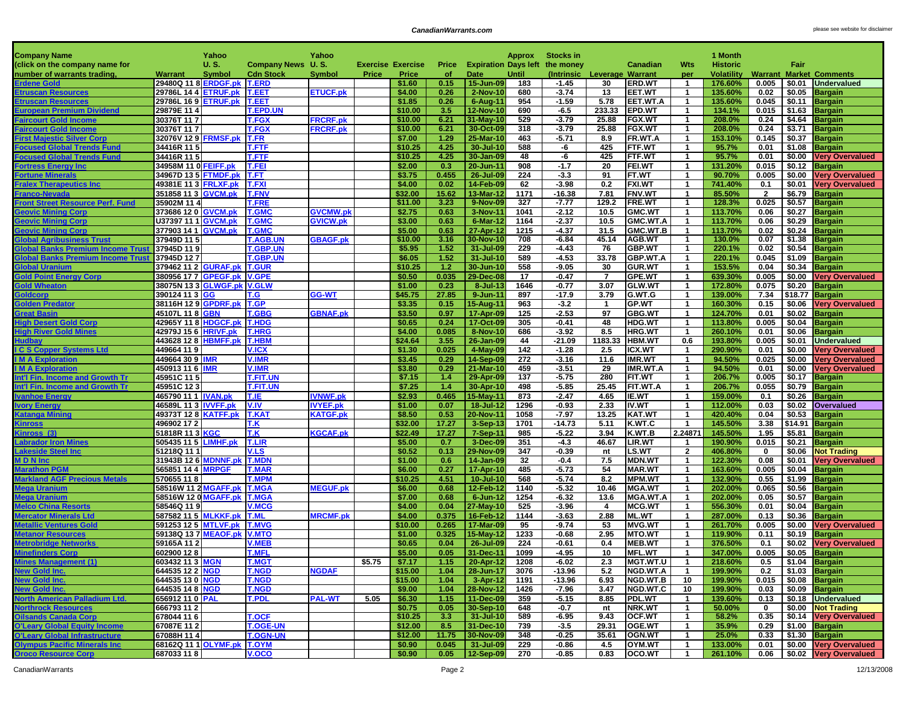н.

| <b>Company Name</b>                                                          |                                              | Yahoo         |                                    | Yahoo           |                      |                          |              |                             | Approx       | <b>Stocks in</b>   |                             |                           |                                         | 1 Month            |                |                  |                                  |
|------------------------------------------------------------------------------|----------------------------------------------|---------------|------------------------------------|-----------------|----------------------|--------------------------|--------------|-----------------------------|--------------|--------------------|-----------------------------|---------------------------|-----------------------------------------|--------------------|----------------|------------------|----------------------------------|
| (click on the company name for                                               |                                              | U.S.          | Company News U.S.                  |                 |                      | <b>Exercise Exercise</b> | Price        | <b>Expiration Days left</b> |              | the money          |                             | <b>Canadian</b>           | Wts                                     | <b>Historic</b>    |                | Fair             |                                  |
| number of warrants trading,                                                  | Warrant                                      | <b>Symbol</b> | <b>Cdn Stock</b>                   | <b>Symbol</b>   | Price                | Price                    | of           | Date                        | Until        |                    | (Intrinsic Leverage Warrant |                           | per                                     | Volatility         |                |                  | <b>Warrant Market Comments</b>   |
| <b>Erdene Gold</b>                                                           | 29480Q 11 8 ERDGF.pk                         |               | <b>T.ERD</b>                       |                 |                      | \$1.60                   | 0.15         | 15-Jun-09                   | 183          | $-1.45$            | 30                          | <b>ERD.WT</b>             | $\overline{1}$                          | 176.60%            | 0.005          | \$0.01           | <b>Undervalued</b>               |
| <b>Etruscan Resources</b>                                                    | 29786L 14 4 ETRUF.pk                         |               | <b>T.EET</b>                       | <b>ETUCF.pk</b> |                      | \$4.00                   | 0.26         | 2-Nov-10                    | 680          | $-3.74$            | 13                          | <b>EET.WT</b>             | $\overline{1}$                          | 135.60%            | 0.02           | \$0.05           | <b>Bargain</b>                   |
| Etruscan Resources                                                           | 29786L 16 9 ETRUF.pk                         |               | <b>T.EET</b>                       |                 |                      | \$1.85                   | 0.26         | 6-Aug-11                    | 954          | $-1.59$            | 5.78                        | EET.WT.A                  | $\mathbf{1}$                            | 135.60%            | 0.045          | \$0.11           | <b>Bargain</b>                   |
| <b>European Premium Dividend</b>                                             | 29879E 11 4                                  |               | <b>T.EPD.UN</b>                    |                 |                      | \$10.00                  | 3.5          | 12-Nov-10                   | 690          | $-6.5$             | 233.33                      | <b>EPD.WT</b>             | $\mathbf{1}$                            | 134.1%             | 0.015          | \$1.63           | <b>Bargain</b>                   |
| <b>Faircourt Gold Income</b>                                                 | 30376T 117                                   |               | <b>T.FGX</b>                       | <b>FRCRF.pk</b> |                      | \$10.00                  | 6.21         | 31-May-10                   | 529          | $-3.79$            | 25.88                       | <b>FGX.WT</b>             | $\mathbf{1}$                            | 208.0%             | 0.24           | \$4.64           | <b>Bargain</b>                   |
| <b>Faircourt Gold Income</b>                                                 | 30376T 117                                   |               | <b>T.FGX</b>                       | <b>FRCRF.pk</b> |                      | \$10.00                  | 6.21         | 30-Oct-09                   | 318          | $-3.79$            | 25.88                       | <b>FGX.WT</b>             | $\mathbf{1}$                            | 208.0%             | 0.24           | \$3.71           | <b>Bargain</b>                   |
| <b>First Majestic Silver Corp</b>                                            | 32076V 12 9 FRMSF.pk                         |               | <b>T.FR</b>                        |                 |                      | \$7.00                   | 1.29         | 25-Mar-10                   | 463          | $-5.71$            | 8.9                         | FR.WT.A                   | $\mathbf{1}$                            | 153.10%            | 0.145          | \$0.37           | <b>Bargain</b>                   |
| <b>Focused Global Trends Fund</b>                                            | 34416R 11 5                                  |               | <b>T.FTF</b>                       |                 |                      | \$10.25                  | 4.25         | 30-Jul-10                   | 588          | -6                 | 425                         | FTF.WT                    | $\mathbf{1}$                            | 95.7%              | 0.01           | \$1.08           | <b>Bargain</b>                   |
| <b>Focused Global Trends Fund</b>                                            | 34416R 11 5                                  |               | <b>T.FTF</b>                       |                 |                      | \$10.25                  | 4.25         | 30-Jan-09                   | 48           | -6                 | 425                         | FTF.WT                    | -1                                      | 95.7%              | 0.01           | \$0.00           | <b>Very Overvalued</b>           |
| <b>Fortress Energy Inc</b>                                                   | 34958M 11 0 FEIFF.pk                         |               | <b>T.FEI</b>                       |                 |                      | \$2.00                   | 0.3          | 20-Jun-11                   | 908          | $-1.7$             | 20                          | <b>FEI.WT</b>             | $\mathbf{1}$                            | 131.20%            | 0.015          | \$0.12           | <b>Bargain</b>                   |
| <b>Fortune Minerals</b>                                                      | 34967D 13 5 FTMDF.pk                         |               | T.FT                               |                 |                      | \$3.75                   | 0.455        | 26-Jul-09                   | 224          | $-3.3$             | 91                          | FT.WT                     | $\overline{1}$                          | 90.70%             | 0.005          | \$0.00           | <b>Very Overvalued</b>           |
| <b>Fralex Therapeutics Inc</b>                                               | 49381E 11 3 FRLXF.pk                         |               | <b>T.FXI</b>                       |                 |                      | \$4.00                   | 0.02         | 14-Feb-09                   | 62           | $-3.98$            | 0.2                         | <b>FXI.WT</b>             | $\mathbf 1$                             | 741.40%            | 0.1            | \$0.01           | <b>Very Overvalued</b>           |
| Franco-Nevada                                                                | 351858 11 3 GVCM.pk                          |               | <b>T.FNV</b>                       |                 |                      | \$32.00                  | 15.62        | 13-Mar-12                   | 1171         | $-16.38$           | 7.81                        | <b>FNV.WT</b>             | $\overline{1}$                          | 85.50%             | $\overline{2}$ | \$6.79           | <b>Bargain</b>                   |
| <b>Front Street Resource Perf. Fund</b>                                      | 35902M 11 4                                  |               | <b>T.FRE</b>                       |                 |                      | \$11.00                  | 3.23         | 9-Nov-09                    | 327          | $-7.77$            | 129.2                       | <b>FRE.WT</b>             | $\mathbf{1}$                            | 128.3%             | 0.025          | \$0.57           | <b>Bargain</b>                   |
| <b>Geovic Mining Corp</b>                                                    | 373686 12 0 GVCM.pk                          |               | <b>T.GMC</b>                       | <b>GVCMW.pk</b> |                      | \$2.75                   | 0.63         | 3-Nov-11                    | 1041         | $-2.12$            | 10.5                        | <b>GMC.WT</b>             | $\mathbf{1}$                            | 113.70%            | 0.06           | \$0.27           | <b>Bargain</b>                   |
| <b>Geovic Mining Corp</b>                                                    | U37397 11 1 <b>GVCM.pk</b>                   |               | <b>T.GMC</b>                       | <b>GVICW.pk</b> |                      | \$3.00                   | 0.63         | 6-Mar-12                    | 1164         | $-2.37$            | 10.5                        | GMC.WT.A                  | $\mathbf{1}$                            | 113.70%            | 0.06           | \$0.29           | <b>Bargain</b>                   |
| <b>Geovic Mining Corp</b>                                                    | 377903 14 1 GVCM.pk                          |               | <b>T.GMC</b>                       |                 |                      | \$5.00                   | 0.63         | 27-Apr-12                   | 1215         | $-4.37$            | 31.5                        | GMC.WT.B                  | $\overline{1}$                          | 113.70%            | 0.02           | \$0.24           | <b>Bargain</b>                   |
| <b>Global Agribusiness Trust</b><br><b>Global Banks Premium Income Trust</b> | 37949D 11 5<br>37945D 119                    |               | <b>T.AGB.UN</b><br><b>T.GBP.UN</b> | <b>GBAGF.pk</b> |                      | \$10.00<br>\$5.95        | 3.16<br>1.52 | 30-Nov-10<br>31-Jul-09      | 708<br>229   | $-6.84$<br>$-4.43$ | 45.14<br>76                 | AGB.WT<br><b>GBP.WT</b>   | $\mathbf{1}$<br>$\mathbf{1}$            | 130.0%<br>220.1%   | 0.07<br>0.02   | \$1.38<br>\$0.54 | <b>Bargain</b>                   |
| <b>Global Banks Premium Income Trust</b>                                     | 37945D 127                                   |               | <b>T.GBP.UN</b>                    |                 |                      | \$6.05                   | 1.52         | 31-Jul-10                   | 589          | $-4.53$            | 33.78                       | <b>GBP.WT.A</b>           | $\mathbf{1}$                            | 220.1%             | 0.045          | \$1.09           | <b>Bargain</b><br><b>Bargain</b> |
| <b>Global Uranium</b>                                                        | 379462 11 2 GURAF.pk                         |               | <b>T.GUR</b>                       |                 |                      | \$10.25                  | 1.2          | 30-Jun-10                   | 558          | $-9.05$            | 30                          | <b>GUR.WT</b>             | $\mathbf{1}$                            | 153.5%             | 0.04           | \$0.34           | <b>Bargain</b>                   |
| <b>Gold Point Energy Corp</b>                                                | 380956 17 7 GPEGF.pk V.GPE                   |               |                                    |                 |                      | \$0.50                   | 0.035        | 29-Dec-08                   | 17           | $-0.47$            | $\overline{7}$              | GPE.WT                    | $\overline{1}$                          | 639.30%            | 0.005          | \$0.00           | <b>Very Overvalued</b>           |
| <b>Gold Wheaton</b>                                                          | 38075N 13 3 GLWGF.pk V.GLW                   |               |                                    |                 |                      | \$1.00                   | 0.23         | 8-Jul-13                    | 1646         | $-0.77$            | 3.07                        | <b>GLW.WT</b>             | $\overline{1}$                          | 172.80%            | 0.075          | \$0.20           | <b>Bargain</b>                   |
| Goldcorp                                                                     | 390124 11 3 GG                               |               | T.G                                | GG-WT           |                      | \$45.75                  | 27.85        | 9-Jun-11                    | 897          | $-17.9$            | 3.79                        | G.WT.G                    | $\mathbf{1}$                            | 139.00%            | 7.34           |                  | \$18.77 Bargain                  |
| <b>Golden Predator</b>                                                       |                                              |               |                                    |                 |                      | \$3.35                   | 0.15         | 15-Aug-11                   | 963          | $-3.2$             | $\overline{1}$              | <b>GP.WT</b>              | $\mathbf{1}$                            | 160.30%            | 0.15           | \$0.06           | <b>Very Overvalued</b>           |
| <b>Great Basin</b>                                                           | 45107L 11 8 GBN                              |               | <b>T.GBG</b>                       | <b>GBNAF.pk</b> |                      | \$3.50                   | 0.97         | 17-Apr-09                   | 125          | $-2.53$            | 97                          | <b>GBG.WT</b>             | $\overline{1}$                          | 124.70%            | 0.01           | \$0.02           | <b>Bargain</b>                   |
| <b>High Desert Gold Corp</b>                                                 | 42965Y 11 8 HDGCF.pk                         |               | <b>T.HDG</b>                       |                 |                      | \$0.65                   | 0.24         | 17-Oct-09                   | 305          | $-0.41$            | 48                          | <b>HDG.WT</b>             | $\overline{1}$                          | 113.80%            | 0.005          | \$0.04           | <b>Bargain</b>                   |
| <b>High River Gold Mines</b>                                                 | 42979J 15 6 HRIVF.pk                         |               | <b>T.HRG</b>                       |                 |                      | \$4.00                   | 0.085        | 8-Nov-10                    | 686          | $-3.92$            | 8.5                         | <b>HRG.WT</b>             | $\mathbf 1$                             | 260.10%            | 0.01           | \$0.06           | <b>Bargain</b>                   |
| <b>Hudbay</b>                                                                | 443628 12 8 HBMFF.pk                         |               | <b>T.HBM</b>                       |                 |                      | \$24.64                  | 3.55         | 26-Jan-09                   | 44           | $-21.09$           | 1183.33                     | <b>HBM.WT</b>             | 0.6                                     | 193.80%            | 0.005          | \$0.01           | <b>Undervalued</b>               |
| <b>I C S Copper Systems Ltd</b>                                              | 449664 119                                   |               | <b>V.ICX</b>                       |                 |                      | \$1.30                   | 0.025        | 4-May-09                    | 142          | $-1.28$            | 2.5                         | <b>ICX.WT</b>             | $\overline{1}$                          | 290.90%            | 0.01           | \$0.00           | <b>Very Overvalued</b>           |
| <b>IMA Exploration</b>                                                       | 449664 30 9 <b>IMR</b>                       |               | <b>V.IMR</b>                       |                 |                      | \$3.45                   | 0.29         | 14-Sep-09                   | 272          | $-3.16$            | 11.6                        | <b>IMR.WT</b>             | $\mathbf{1}$                            | 94.50%             | 0.025          | \$0.00           | <b>Very Overvalued</b>           |
| <b>IM A Exploration</b>                                                      | 450913 11 6 <b>IMR</b>                       |               | <b>V.IMR</b>                       |                 |                      | \$3.80                   | 0.29         | 21-Mar-10                   | 459          | $-3.51$            | 29                          | <b>IMR.WT.A</b>           | $\overline{1}$                          | 94.50%             | 0.01           | \$0.00           | <b>Very Overvalued</b>           |
| Int'l Fin. Income and Growth Tr                                              | 45951C 11 5                                  |               | T.FIT.UN                           |                 |                      | \$7.15                   | 1.4          | 29-Apr-09                   | 137          | $-5.75$            | 280                         | FIT.WT                    | $\mathbf{1}$                            | 206.7%             | 0.005          | \$0.17           | <b>Bargain</b>                   |
| Int'l Fin. Income and Growth Tr                                              | 45951C 123                                   |               | <b>T.FIT.UN</b>                    |                 |                      | \$7.25                   | 1.4          | 30-Apr-10                   | 498          | $-5.85$            | 25.45                       | FIT.WT.A                  | $\mathbf 1$                             | 206.7%             | 0.055          | \$0.79           | <b>Bargain</b>                   |
| <b>Ivanhoe Energy</b>                                                        | 465790 11 1 IVAN.pk                          |               | T.IE                               | <b>VNWF.pk</b>  |                      | \$2.93                   | 0.465        | 15-May-11                   | 873          | $-2.47$            | 4.65                        | IE.WT                     | $\overline{1}$                          | 159.00%            | 0.1            | \$0.26           | <b>Bargain</b>                   |
| <b>Ivory Energy</b>                                                          | 46589L 11 3 IVVFF.pk                         |               | V.IV                               | IVYEF.pk        |                      | \$1.00                   | 0.07         | 18-Jul-12                   | 1296         | $-0.93$            | 2.33                        | <b>IV.WT</b>              | $\overline{1}$                          | 112.00%            | 0.03           | \$0.02           | Overvalued                       |
| Katanga Mining                                                               | 49373T 12 8 KATFF.pk                         |               | <b>T.KAT</b>                       | <b>KATGF.pk</b> |                      | \$8.50                   | 0.53         | 20-Nov-11                   | 1058         | $-7.97$            | 13.25                       | <b>KAT.WT</b>             | $\overline{1}$                          | 420.40%            | 0.04           | \$0.53           | <b>Bargain</b>                   |
| <b>Kinross</b>                                                               | 496902 17 2                                  |               | T.K                                |                 |                      | \$32.00                  | 17.27        | 3-Sep-13                    | 1701         | $-14.73$           | 5.11                        | K.WT.C                    | $\mathbf{1}$                            | 145.50%            | 3.38           |                  | \$14.91 Bargain                  |
| Kinross (3)                                                                  | 51818R 11 3 KGC                              |               | T.K                                | <b>KGCAF.pk</b> |                      | \$22.49                  | 17.27        | 7-Sep-11                    | 985          | $-5.22$            | 3.94                        | K.WT.B                    | 2.24871                                 | 145.50%            | 1.95           | \$5.81           | <b>Bargain</b>                   |
| <b>Labrador Iron Mines</b>                                                   | 505435 11 5 LIMHF.pk                         |               | <b>T.LIR</b>                       |                 |                      | \$5.00                   | 0.7          | 3-Dec-09                    | 351          | $-4.3$             | 46.67                       | LIR.WT                    | $\mathbf{1}$                            | 190.90%            | 0.015          | \$0.21           | <b>Bargain</b>                   |
| <b>Lakeside Steel Inc</b>                                                    | 51218Q 11 1                                  |               | <b>V.LS</b>                        |                 |                      | \$0.52                   | 0.13         | 29-Nov-09                   | 347          | $-0.39$            | nt                          | LS.WT                     | $\overline{2}$                          | 406.80%            | $\mathbf 0$    | \$0.06           | <b>Not Trading</b>               |
| <b>MDN</b> Inc                                                               | 31943B 12 6 MDNNF.pl                         |               | <b>T.MDN</b>                       |                 |                      | \$1.00                   | 0.6          | 14-Jan-09                   | 32           | $-0.4$             | 7.5                         | <b>MDN.WT</b>             | $\overline{1}$                          | 122.30%            | 0.08           | \$0.01           | <b>Very Overvalued</b>           |
| <b>Marathon PGM</b><br><b>Markland AGF Precious Metals</b>                   | 565851 14 4                                  | <b>MRPGF</b>  | <b>T.MAR</b><br><b>T.MPM</b>       |                 |                      | \$6.00                   | 0.27         | 17-Apr-10                   | 485          | $-5.73$            | 54                          | <b>MAR.WT</b>             | $\mathbf{1}$                            | 163.60%            | 0.005          | \$0.04           | <b>Bargain</b>                   |
| <b>Mega Uranium</b>                                                          | 570655 118                                   |               | <b>T.MGA</b>                       |                 |                      | \$10.25<br>\$6.00        | 4.51<br>0.68 | 10-Jul-10<br>12-Feb-12      | 568          | $-5.74$<br>$-5.32$ | 8.2                         | <b>MPM.WT</b>             | $\overline{\mathbf{1}}$<br>$\mathbf{1}$ | 132.90%            | 0.55<br>0.065  | \$1.99<br>\$0.56 | <b>Bargain</b>                   |
|                                                                              | 58516W 11 2 MGAFF.pl<br>58516W 12 0 MGAFF.pk |               |                                    | <b>MEGUF.pk</b> |                      | \$7.00                   | 0.68         | 6-Jun-12                    | 1140<br>1254 | $-6.32$            | 10.46<br>13.6               | <b>MGA.WT</b>             |                                         | 202.00%<br>202.00% | 0.05           |                  | <b>Bargain</b>                   |
| Mega Uranium<br><b>Melco China Resorts</b>                                   | 58546Q 119                                   |               | <b>T.MGA</b><br><b>V.MCG</b>       |                 |                      | \$4.00                   | 0.04         | 27-May-10                   | 525          | $-3.96$            | $\overline{4}$              | MGA.WT.A<br><b>MCG.WT</b> | $\overline{1}$<br>$\overline{1}$        | 556.30%            | 0.01           | \$0.57<br>\$0.04 | <b>Bargain</b><br><b>Bargain</b> |
| <b>Mercator Minerals Ltd</b>                                                 | 587582 11 5 MLKKF.pk                         |               | <b>T.ML</b>                        | <b>MRCMF.pk</b> |                      | \$4.00                   | 0.375        | 16-Feb-12                   | 1144         | $-3.63$            | 2.88                        | <b>ML.WT</b>              | $\overline{1}$                          | 287.00%            | 0.13           | \$0.36           | <b>Bargain</b>                   |
| <b>Metallic Ventures Gold</b>                                                | 591253 12 5 MTLVF.pk                         |               | <b>T.MVG</b>                       |                 |                      | \$10.00                  | 0.265        | 17-Mar-09                   | 95           | $-9.74$            | 53                          | <b>MVG.WT</b>             | $\overline{1}$                          | 261.70%            | 0.005          | \$0.00           | <b>Very Overvalued</b>           |
| Metanor Resources                                                            | 59138Q 13 7 MEAOF.pk                         |               | <b>V.MTO</b>                       |                 |                      | \$1.00                   | 0.325        | 15-May-12                   | 1233         | $-0.68$            | 2.95                        | <b>MTO.WT</b>             | $\mathbf{1}$                            | 119.90%            | 0.11           | \$0.19           | <b>Bargain</b>                   |
| <b>Metrobridge Networks</b>                                                  | 59165A 11 2                                  |               | <b>V.MEB</b>                       |                 |                      | \$0.65                   | 0.04         | 26-Jul-09                   | 224          | $-0.61$            | 0.4                         | <b>MEB.WT</b>             | $\overline{1}$                          | 376.50%            | 0.1            | \$0.02           | <b>Very Overvalued</b>           |
| <b>Minefinders Corp</b>                                                      | 602900 128                                   |               | <b>T.MFL</b>                       |                 |                      | \$5.00                   | 0.05         | 31-Dec-11                   | 1099         | $-4.95$            | 10                          | <b>MFL.WT</b>             | $\mathbf{1}$                            | 347.00%            | 0.005          | \$0.05           | <b>Bargain</b>                   |
| <b>Mines Management (1)</b>                                                  | 603432 11 3   <mark>MGN</mark>               |               | <b>I.MGI</b>                       |                 | $\frac{1}{5}$ \$5.75 | \$7.17                   | $1.15 -$     | 20-Apr-12                   | 1208         | -6.02              | 2.3                         | <b>MGT.WT.U</b>           |                                         | 218.60%            | U.5            |                  | \$1.04 Bargain≰                  |
| <b>New Gold Inc.</b>                                                         | 644535 12 2 NGD                              |               | <b>T.NGD</b>                       | <b>NGDAF</b>    |                      | \$15.00                  | 1.04         | 28-Jun-17                   | 3076         | $-13.96$           | 5.2                         | <b>NGD.WT.A</b>           | $\overline{1}$                          | 199.90%            | 0.2            |                  | $$1.03$ Bargain                  |
| New Gold Inc.                                                                | 644535 13 0 NGD                              |               | <b>T.NGD</b>                       |                 |                      | \$15.00                  | 1.04         | 3-Apr-12                    | 1191         | $-13.96$           | 6.93                        | NGD.WT.B                  | 10                                      | 199.90%            |                |                  | $0.015$   \$0.08 Bargain         |
| <b>New Gold Inc.</b>                                                         | 644535 14 8 NGD                              |               | <b>T.NGD</b>                       |                 |                      | \$9.00                   | 1.04         | 28-Nov-12                   | 1426         | -7.96              | 3.47                        | NGD.WT.C                  | 10                                      | 199.90%            | 0.03           |                  | \$0.09 Bargain                   |
| North American Palladium Ltd.                                                | 656912 11 0 PAL                              |               | <b>T.PDL</b>                       | <b>PAL-WT</b>   | 5.05                 | \$6.30                   | 1.15         | 11-Dec-09                   | 359          | $-5.15$            | 8.85                        | PDL.WT                    | $\overline{1}$                          | 139.60%            | 0.13           |                  | \$0.18 Undervalued               |
| <b>Northrock Resources</b>                                                   | 666793 11 2                                  |               |                                    |                 |                      | \$0.75                   | 0.05         | 30-Sep-10                   | 648          | -0.7               | nt                          | NRK.WT                    | $\mathbf{1}$                            | 50.00%             | 0              |                  | \$0.00 Not Trading               |
| <b>Oilsands Canada Corp</b>                                                  | 678044 11 6                                  |               | <b>T.OCF</b>                       |                 |                      | \$10.25                  | 3.3          | 31-Jul-10                   | 589          | $-6.95$            | 9.43                        | <b>OCF.WT</b>             | $\mathbf{1}$                            | 58.2%              | 0.35           |                  | \$0.14 Very Overvalued           |
| <b>O'Leary Global Equity Income</b>                                          | 67087E 11 2                                  |               | <b>T.OGE-UN</b>                    |                 |                      | \$12.00                  | 8.5          | 31-Dec-10                   | 739          | $-3.5$             | 29.31                       | OGE.WT                    | $\mathbf{1}$                            | 35.9%              | 0.29           |                  | \$1.00 Bargain                   |
| <b>O'Leary Global Infrastructure</b>                                         | 67088H 114                                   |               | <b>T.OGN-UN</b>                    |                 |                      | \$12.00                  | 11.75        | 30-Nov-09                   | 348          | $-0.25$            | 35.61                       | OGN.WT                    | $\mathbf{1}$                            | 25.0%              | 0.33           |                  | $$1.30$ Bargain                  |
| <b>Olympus Pacific Minerals Inc</b>                                          | 68162Q 11 1 OLYMF.pk T.OYM                   |               |                                    |                 |                      | \$0.90                   |              | $0.045$   31-Jul-09         | 229          | $-0.86$            | 4.5                         | OYM.WT                    | $\overline{1}$                          | 133.00%            | 0.01           |                  | \$0.00 Very Overvalued           |
| <b>Oroco Resource Corp</b>                                                   | 687033 118                                   |               | <b>V.OCO</b>                       |                 |                      | \$0.90                   |              | $0.05$   12-Sep-09          | 270          | $-0.85$            | 0.83                        | OCO.WT                    | $\blacksquare$                          | 261.10%            |                |                  | 0.06   \$0.02   Very Overvalued  |